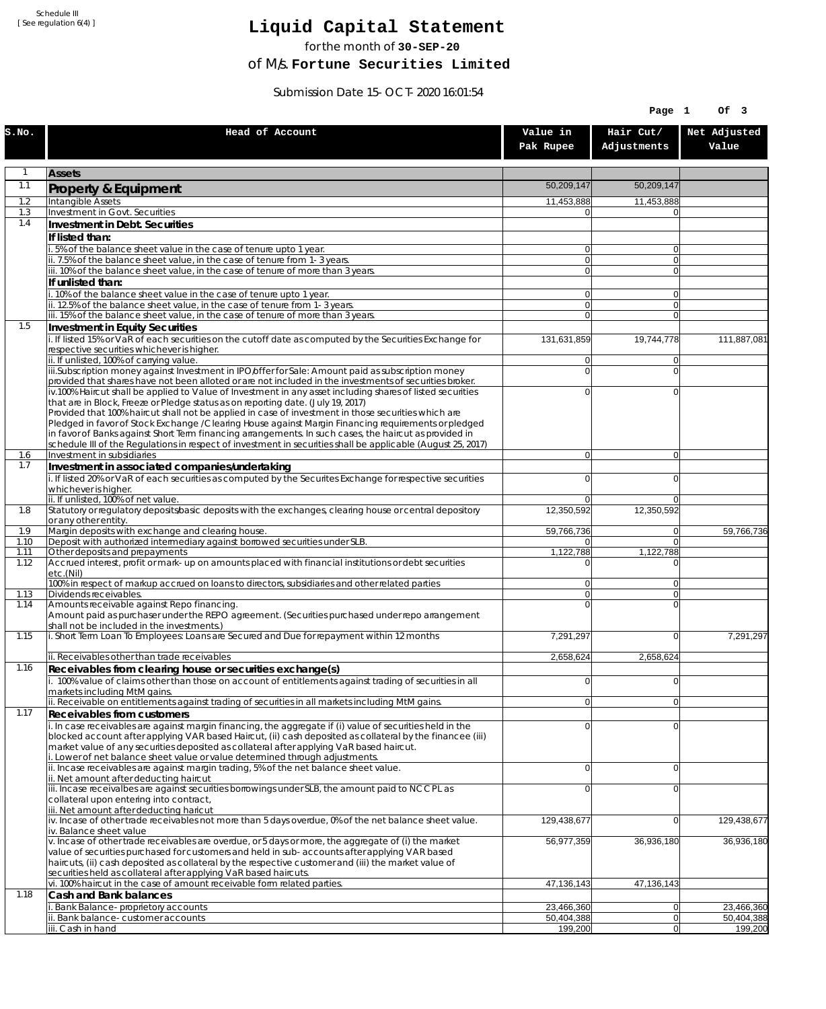Schedule III [ See regulation 6(4) ]

## **Liquid Capital Statement**

for the month of **30-SEP-20**

of M/s. **Fortune Securities Limited**

Submission Date 15-OCT-2020 16:01:54

|              |                                                                                                                                                                                                                        |                                  | Page 1                   | Of 3                     |
|--------------|------------------------------------------------------------------------------------------------------------------------------------------------------------------------------------------------------------------------|----------------------------------|--------------------------|--------------------------|
| S.NO.        | Head of Account                                                                                                                                                                                                        | Value in<br>Pak Rupee            | Hair Cut/<br>Adjustments | Net Adjusted<br>Value    |
| 1            | <b>Assets</b>                                                                                                                                                                                                          |                                  |                          |                          |
| 1.1          | Property & Equipment                                                                                                                                                                                                   | 50,209,147                       | 50,209,147               |                          |
| 1.2          | Intangible Assets                                                                                                                                                                                                      | 11,453,888                       | 11,453,888               |                          |
| 1.3<br>1.4   | Investment in Govt. Securities<br>Investment in Debt. Securities                                                                                                                                                       | $\Omega$                         |                          |                          |
|              | If listed than:                                                                                                                                                                                                        |                                  |                          |                          |
|              | 5% of the balance sheet value in the case of tenure upto 1 year.                                                                                                                                                       | $\Omega$                         | $\overline{0}$           |                          |
|              | ii. 7.5% of the balance sheet value, in the case of tenure from 1-3 years.                                                                                                                                             | $\overline{0}$                   | $\overline{0}$           |                          |
|              | iii. 10% of the balance sheet value, in the case of tenure of more than 3 years.<br>If unlisted than:                                                                                                                  | $\Omega$                         | $\overline{0}$           |                          |
|              | . 10% of the balance sheet value in the case of tenure upto 1 year.                                                                                                                                                    | $\overline{0}$                   | $\overline{0}$           |                          |
|              | ii. 12.5% of the balance sheet value, in the case of tenure from 1-3 years.                                                                                                                                            | $\overline{0}$                   | $\overline{0}$           |                          |
| 1.5          | iii. 15% of the balance sheet value, in the case of tenure of more than 3 years.<br>Investment in Equity Securities                                                                                                    | $\Omega$                         | $\Omega$                 |                          |
|              | i. If listed 15% or VaR of each securities on the cutoff date as computed by the Securities Exchange for                                                                                                               | 131,631,859                      | 19,744,778               | 111,887,081              |
|              | respective securities whichever is higher.                                                                                                                                                                             |                                  |                          |                          |
|              | ii. If unlisted, 100% of carrying value.<br>iii.Subscription money against Investment in IPO/offer for Sale: Amount paid as subscription money                                                                         | $\overline{0}$<br>$\overline{0}$ | $\Omega$<br>$\Omega$     |                          |
|              | provided that shares have not been alloted or are not included in the investments of securities broker.                                                                                                                |                                  |                          |                          |
|              | iv.100% Haircut shall be applied to Value of Investment in any asset including shares of listed securities                                                                                                             | 0                                | $\Omega$                 |                          |
|              | that are in Block, Freeze or Pledge status as on reporting date. (July 19, 2017)<br>Provided that 100% haircut shall not be applied in case of investment in those securities which are                                |                                  |                          |                          |
|              | Pledged in favor of Stock Exchange / Clearing House against Margin Financing requirements or pledged                                                                                                                   |                                  |                          |                          |
|              | in favor of Banks against Short Term financing arrangements. In such cases, the haircut as provided in<br>schedule III of the Regulations in respect of investment in securities shall be applicable (August 25, 2017) |                                  |                          |                          |
| 1.6          | Investment in subsidiaries                                                                                                                                                                                             | $\Omega$                         | $\overline{0}$           |                          |
| 1.7          | Investment in associated companies/undertaking                                                                                                                                                                         |                                  |                          |                          |
|              | i. If listed 20% or VaR of each securities as computed by the Securites Exchange for respective securities<br>whichever is higher.                                                                                     | $\Omega$                         | $\Omega$                 |                          |
|              | ii. If unlisted, 100% of net value.                                                                                                                                                                                    | $\Omega$                         | $\Omega$                 |                          |
| 1.8          | Statutory or regulatory deposits/basic deposits with the exchanges, clearing house or central depository                                                                                                               | 12,350,592                       | 12,350,592               |                          |
| 1.9          | or any other entity.<br>Margin deposits with exchange and clearing house.                                                                                                                                              | 59,766,736                       | $\overline{0}$           | 59,766,736               |
| 1.10         | Deposit with authorized intermediary against borrowed securities under SLB.                                                                                                                                            | 01                               | $\overline{0}$           |                          |
| 1.11<br>1.12 | Other deposits and prepayments<br>Accrued interest, profit or mark-up on amounts placed with financial institutions or debt securities                                                                                 | 1,122,788<br>0                   | 1,122,788<br>$\Omega$    |                          |
|              | etc.(Nil)                                                                                                                                                                                                              |                                  |                          |                          |
| 1.13         | 100% in respect of markup accrued on loans to directors, subsidiaries and other related parties<br>Dividends receivables.                                                                                              | $\overline{0}$<br>οl             | $\Omega$<br>$\Omega$     |                          |
| 1.14         | Amounts receivable against Repo financing.                                                                                                                                                                             | $\Omega$                         | $\Omega$                 |                          |
|              | Amount paid as purchaser under the REPO agreement. (Securities purchased under repo arrangement                                                                                                                        |                                  |                          |                          |
| 1.15         | shall not be included in the investments.)<br>i. Short Term Loan To Employees: Loans are Secured and Due for repayment within 12 months                                                                                | 7,291,297                        | $\overline{0}$           | 7,291,297                |
|              |                                                                                                                                                                                                                        |                                  |                          |                          |
| 1.16         | ii. Receivables other than trade receivables                                                                                                                                                                           | 2,658,624                        | 2,658,624                |                          |
|              | Receivables from clearing house or securities exchange(s)<br>i. 100% value of claims other than those on account of entitlements against trading of securities in all                                                  | $\overline{0}$                   | 0                        |                          |
|              | markets including MtM gains.                                                                                                                                                                                           |                                  |                          |                          |
| 1.17         | ii. Receivable on entitlements against trading of securities in all markets including MtM gains.                                                                                                                       | $\overline{0}$                   | 0                        |                          |
|              | Receivables from customers<br>i. In case receivables are against margin financing, the aggregate if (i) value of securities held in the                                                                                | $\Omega$                         | $\overline{0}$           |                          |
|              | blocked account after applying VAR based Haircut, (ii) cash deposited as collateral by the financee (iii)                                                                                                              |                                  |                          |                          |
|              | market value of any securities deposited as collateral after applying VaR based haircut.<br>i. Lower of net balance sheet value or value determined through adjustments.                                               |                                  |                          |                          |
|              | ii. Incase receivables are against margin trading, 5% of the net balance sheet value.                                                                                                                                  | $\Omega$                         | $\overline{0}$           |                          |
|              | ii. Net amount after deducting haircut                                                                                                                                                                                 |                                  |                          |                          |
|              | iii. Incase receivalbes are against securities borrowings under SLB, the amount paid to NCCPL as<br>collateral upon entering into contract,                                                                            | 0                                | $\Omega$                 |                          |
|              | iii. Net amount after deducting haricut                                                                                                                                                                                |                                  |                          |                          |
|              | iv. Incase of other trade receivables not more than 5 days overdue, 0% of the net balance sheet value.<br>iv. Balance sheet value                                                                                      | 129,438,677                      | 0                        | 129,438,677              |
|              | v. Incase of other trade receivables are overdue, or 5 days or more, the aggregate of (i) the market                                                                                                                   | 56,977,359                       | 36,936,180               | 36,936,180               |
|              | value of securities purchased for customers and held in sub-accounts after applying VAR based                                                                                                                          |                                  |                          |                          |
|              | haircuts, (ii) cash deposited as collateral by the respective customer and (iii) the market value of<br>securities held as collateral after applying VaR based haircuts.                                               |                                  |                          |                          |
|              | vi. 100% haircut in the case of amount receivable form related parties.                                                                                                                                                | 47,136,143                       | 47,136,143               |                          |
| 1.18         | Cash and Bank balances                                                                                                                                                                                                 |                                  |                          |                          |
|              | i. Bank Balance-proprietory accounts<br>Bank balance-customer accounts                                                                                                                                                 | 23,466,360<br>50,404,388         | 0 <br> 0                 | 23,466,360<br>50,404,388 |
|              | iii. Cash in hand                                                                                                                                                                                                      | 199,200                          | 0                        | 199,200                  |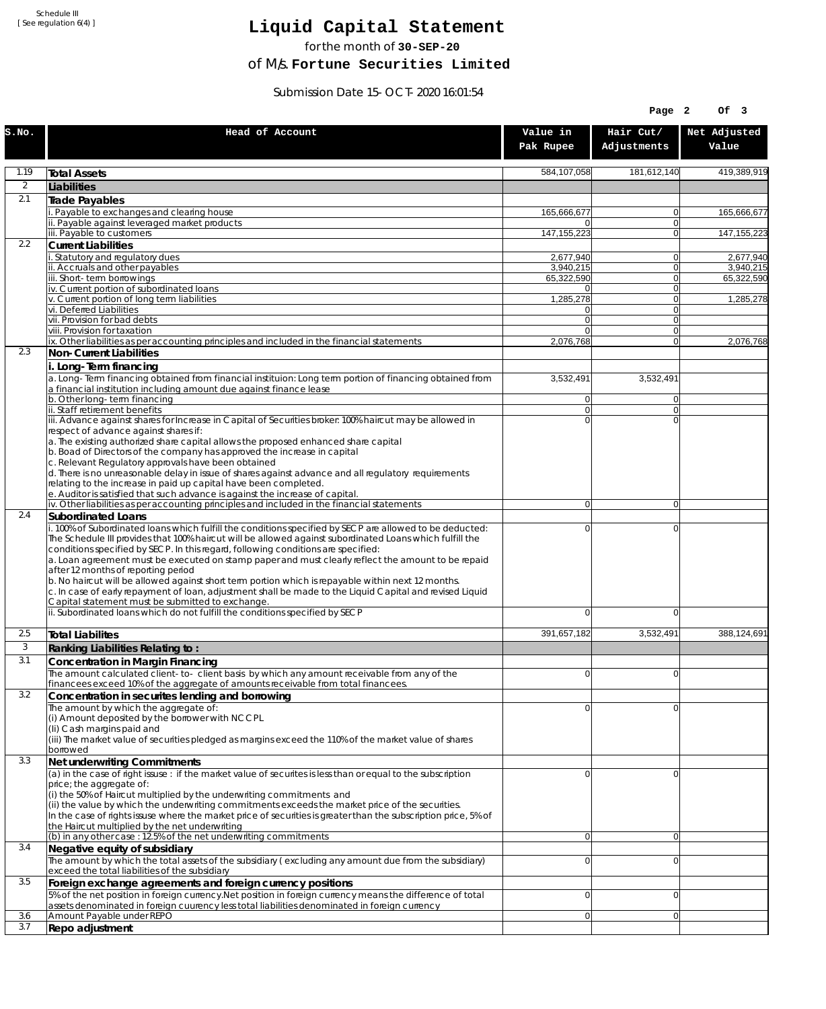Schedule III [ See regulation 6(4) ]

## **Liquid Capital Statement**

for the month of **30-SEP-20**

of M/s. **Fortune Securities Limited**

Submission Date 15-OCT-2020 16:01:54

|              |                                                                                                                                                                                                                                                                                                                                            |                         | Page 2                     | Of 3                    |
|--------------|--------------------------------------------------------------------------------------------------------------------------------------------------------------------------------------------------------------------------------------------------------------------------------------------------------------------------------------------|-------------------------|----------------------------|-------------------------|
| S.NO.        | Head of Account                                                                                                                                                                                                                                                                                                                            | Value in<br>Pak Rupee   | Hair Cut/<br>Adjustments   | Net Adjusted<br>Value   |
| 1.19         | <b>Total Assets</b>                                                                                                                                                                                                                                                                                                                        | 584,107,058             | 181,612,140                | 419,389,919             |
| 2            | Liabilities                                                                                                                                                                                                                                                                                                                                |                         |                            |                         |
| 2.1          | Trade Payables                                                                                                                                                                                                                                                                                                                             |                         |                            |                         |
|              | Payable to exchanges and clearing house<br>ii. Payable against leveraged market products                                                                                                                                                                                                                                                   | 165,666,677<br>0        | $\overline{0}$<br>$\Omega$ | 165,666,677             |
|              | iii. Payable to customers                                                                                                                                                                                                                                                                                                                  | 147, 155, 223           | $\Omega$                   | 147, 155, 223           |
| 2.2          | <b>Current Liabilities</b>                                                                                                                                                                                                                                                                                                                 |                         |                            |                         |
|              | . Statutory and regulatory dues<br>ii. Accruals and other payables                                                                                                                                                                                                                                                                         | 2,677,940               | $\Omega$<br>$\Omega$       | 2,677,940               |
|              | iii. Short-term borrowings                                                                                                                                                                                                                                                                                                                 | 3,940,215<br>65,322,590 | 0                          | 3,940,215<br>65,322,590 |
|              | iv. Current portion of subordinated loans                                                                                                                                                                                                                                                                                                  | 0                       | $\Omega$                   |                         |
|              | v. Current portion of long term liabilities<br>vi. Deferred Liabilities                                                                                                                                                                                                                                                                    | 1,285,278<br>0          | $\Omega$<br> 0             | 1,285,278               |
|              | vii. Provision for bad debts                                                                                                                                                                                                                                                                                                               | $\overline{0}$          | $\Omega$                   |                         |
|              | viii. Provision for taxation                                                                                                                                                                                                                                                                                                               | $\Omega$                | $\Omega$<br>$\Omega$       |                         |
| 2.3          | ix. Other liabilities as per accounting principles and included in the financial statements<br>Non-Current Liabilities                                                                                                                                                                                                                     | 2,076,768               |                            | 2,076,768               |
|              | i. Long-Term financing                                                                                                                                                                                                                                                                                                                     |                         |                            |                         |
|              | a. Long-Term financing obtained from financial instituion: Long term portion of financing obtained from<br>a financial institution including amount due against finance lease                                                                                                                                                              | 3,532,491               | 3,532,491                  |                         |
|              | b. Other long-term financing<br>ii. Staff retirement benefits                                                                                                                                                                                                                                                                              | 0<br>$\overline{0}$     | $\Omega$<br>$\Omega$       |                         |
|              | iii. Advance against shares for Increase in Capital of Securities broker: 100% haircut may be allowed in                                                                                                                                                                                                                                   | $\Omega$                | $\Omega$                   |                         |
|              | respect of advance against shares if:                                                                                                                                                                                                                                                                                                      |                         |                            |                         |
|              | a. The existing authorized share capital allows the proposed enhanced share capital<br>b. Boad of Directors of the company has approved the increase in capital                                                                                                                                                                            |                         |                            |                         |
|              | c. Relevant Regulatory approvals have been obtained                                                                                                                                                                                                                                                                                        |                         |                            |                         |
|              | d. There is no unreasonable delay in issue of shares against advance and all regulatory requirements<br>relating to the increase in paid up capital have been completed.                                                                                                                                                                   |                         |                            |                         |
|              | e. Auditor is satisfied that such advance is against the increase of capital.                                                                                                                                                                                                                                                              |                         |                            |                         |
| 2.4          | iv. Other liabilities as per accounting principles and included in the financial statements                                                                                                                                                                                                                                                | $\overline{0}$          | $\overline{0}$             |                         |
|              | Subordinated Loans<br>. 100% of Subordinated loans which fulfill the conditions specified by SECP are allowed to be deducted:                                                                                                                                                                                                              | 0                       | $\mathbf 0$                |                         |
|              | The Schedule III provides that 100% haircut will be allowed against subordinated Loans which fulfill the<br>conditions specified by SECP. In this regard, following conditions are specified:<br>a. Loan agreement must be executed on stamp paper and must clearly reflect the amount to be repaid<br>after 12 months of reporting period |                         |                            |                         |
|              | b. No haircut will be allowed against short term portion which is repayable within next 12 months.<br>c. In case of early repayment of loan, adjustment shall be made to the Liquid Capital and revised Liquid<br>Capital statement must be submitted to exchange.                                                                         |                         |                            |                         |
|              | ii. Subordinated loans which do not fulfill the conditions specified by SECP                                                                                                                                                                                                                                                               | $\Omega$                | $\Omega$                   |                         |
| 2.5          | <b>Total Liabilites</b>                                                                                                                                                                                                                                                                                                                    | 391,657,182             | 3,532,491                  | 388,124,691             |
| $\mathbf{3}$ | Ranking Liabilities Relating to:                                                                                                                                                                                                                                                                                                           |                         |                            |                         |
| 3.1          | Concentration in Margin Financing                                                                                                                                                                                                                                                                                                          |                         |                            |                         |
|              | The amount calculated client-to-client basis by which any amount receivable from any of the<br>financees exceed 10% of the aggregate of amounts receivable from total financees.                                                                                                                                                           | $\Omega$                | $\Omega$                   |                         |
| 3.2          | Concentration in securites lending and borrowing                                                                                                                                                                                                                                                                                           |                         |                            |                         |
|              | The amount by which the aggregate of:                                                                                                                                                                                                                                                                                                      | 0                       | $\Omega$                   |                         |
|              | (i) Amount deposited by the borrower with NCCPL<br>(Ii) Cash margins paid and                                                                                                                                                                                                                                                              |                         |                            |                         |
|              | (iii) The market value of securities pledged as margins exceed the 110% of the market value of shares                                                                                                                                                                                                                                      |                         |                            |                         |
|              | borrowed                                                                                                                                                                                                                                                                                                                                   |                         |                            |                         |
| 3.3          | Net underwriting Commitments<br>(a) in the case of right issuse : if the market value of securites is less than or equal to the subscription                                                                                                                                                                                               | 0                       | $\overline{0}$             |                         |
|              | price; the aggregate of:                                                                                                                                                                                                                                                                                                                   |                         |                            |                         |
|              | (i) the 50% of Haircut multiplied by the underwriting commitments and<br>(ii) the value by which the underwriting commitments exceeds the market price of the securities.                                                                                                                                                                  |                         |                            |                         |
|              | In the case of rights issuse where the market price of securities is greater than the subscription price, 5% of                                                                                                                                                                                                                            |                         |                            |                         |
|              | the Haircut multiplied by the net underwriting                                                                                                                                                                                                                                                                                             |                         |                            |                         |
| 3.4          | (b) in any other case : 12.5% of the net underwriting commitments<br>Negative equity of subsidiary                                                                                                                                                                                                                                         | $\overline{0}$          | $\overline{0}$             |                         |
|              | The amount by which the total assets of the subsidiary (excluding any amount due from the subsidiary)                                                                                                                                                                                                                                      | 0                       | $\overline{0}$             |                         |
|              | exceed the total liabilities of the subsidiary                                                                                                                                                                                                                                                                                             |                         |                            |                         |
| 3.5          | Foreign exchange agreements and foreign currency positions                                                                                                                                                                                                                                                                                 |                         |                            |                         |
|              | 5% of the net position in foreign currency. Net position in foreign currency means the difference of total<br>assets denominated in foreign cuurency less total liabilities denominated in foreign currency                                                                                                                                | 0                       | $\mathbf 0$                |                         |
| 3.6          | Amount Payable under REPO                                                                                                                                                                                                                                                                                                                  | 0                       | $\overline{0}$             |                         |
| 3.7          | Repo adjustment                                                                                                                                                                                                                                                                                                                            |                         |                            |                         |